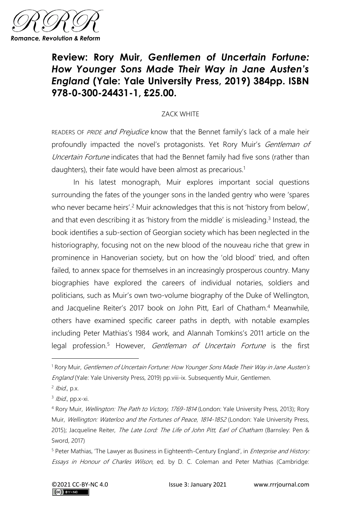

## **Review: Rory Muir,** *Gentlemen of Uncertain Fortune: How Younger Sons Made Their Way in Jane Austen's England* **(Yale: Yale University Press, 2019) 384pp. ISBN 978-0-300-24431-1, £25.00.**

## ZACK WHITE

READERS OF PRIDE and Prejudice know that the Bennet family's lack of a male heir profoundly impacted the novel's protagonists. Yet Rory Muir's Gentleman of Uncertain Fortune indicates that had the Bennet family had five sons (rather than daughters), their fate would have been almost as precarious.<sup>1</sup>

In his latest monograph, Muir explores important social questions surrounding the fates of the younger sons in the landed gentry who were 'spares who never became heirs'.<sup>2</sup> Muir acknowledges that this is not 'history from below', and that even describing it as 'history from the middle' is misleading.<sup>3</sup> Instead, the book identifies a sub-section of Georgian society which has been neglected in the historiography, focusing not on the new blood of the nouveau riche that grew in prominence in Hanoverian society, but on how the 'old blood' tried, and often failed, to annex space for themselves in an increasingly prosperous country. Many biographies have explored the careers of individual notaries, soldiers and politicians, such as Muir's own two-volume biography of the Duke of Wellington, and Jacqueline Reiter's 2017 book on John Pitt, Earl of Chatham.<sup>4</sup> Meanwhile, others have examined specific career paths in depth, with notable examples including Peter Mathias's 1984 work, and Alannah Tomkins's 2011 article on the legal profession.<sup>5</sup> However, *Gentleman of Uncertain Fortune* is the first

<sup>&</sup>lt;sup>1</sup> Rory Muir, Gentlemen of Uncertain Fortune: How Younger Sons Made Their Way in Jane Austen's England (Yale: Yale University Press, 2019) pp.viii-ix. Subsequently Muir, Gentlemen.

<sup>&</sup>lt;sup>2</sup> Ibid., p.x.

<sup>&</sup>lt;sup>3</sup> Ibid., pp.x-xi.

<sup>4</sup> Rory Muir, Wellington: The Path to Victory, 1769-1814 (London: Yale University Press, 2013); Rory Muir, Wellington: Waterloo and the Fortunes of Peace, 1814-1852 (London: Yale University Press, 2015); Jacqueline Reiter, The Late Lord: The Life of John Pitt, Earl of Chatham (Barnsley: Pen & Sword, 2017)

<sup>&</sup>lt;sup>5</sup> Peter Mathias, 'The Lawyer as Business in Eighteenth-Century England', in *Enterprise and History:* Essays in Honour of Charles Wilson, ed. by D. C. Coleman and Peter Mathias (Cambridge: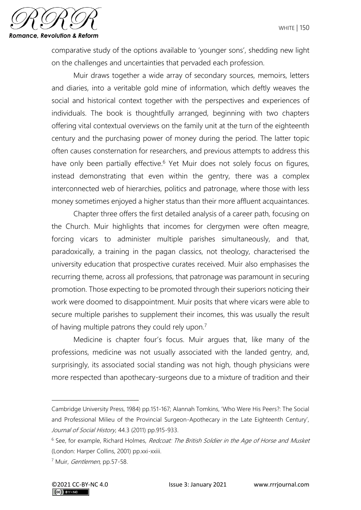

comparative study of the options available to 'younger sons', shedding new light on the challenges and uncertainties that pervaded each profession.

Muir draws together a wide array of secondary sources, memoirs, letters and diaries, into a veritable gold mine of information, which deftly weaves the social and historical context together with the perspectives and experiences of individuals. The book is thoughtfully arranged, beginning with two chapters offering vital contextual overviews on the family unit at the turn of the eighteenth century and the purchasing power of money during the period. The latter topic often causes consternation for researchers, and previous attempts to address this have only been partially effective.<sup>6</sup> Yet Muir does not solely focus on figures, instead demonstrating that even within the gentry, there was a complex interconnected web of hierarchies, politics and patronage, where those with less money sometimes enjoyed a higher status than their more affluent acquaintances.

Chapter three offers the first detailed analysis of a career path, focusing on the Church. Muir highlights that incomes for clergymen were often meagre, forcing vicars to administer multiple parishes simultaneously, and that, paradoxically, a training in the pagan classics, not theology, characterised the university education that prospective curates received. Muir also emphasises the recurring theme, across all professions, that patronage was paramount in securing promotion. Those expecting to be promoted through their superiors noticing their work were doomed to disappointment. Muir posits that where vicars were able to secure multiple parishes to supplement their incomes, this was usually the result of having multiple patrons they could rely upon.<sup>7</sup>

Medicine is chapter four's focus. Muir argues that, like many of the professions, medicine was not usually associated with the landed gentry, and, surprisingly, its associated social standing was not high, though physicians were more respected than apothecary-surgeons due to a mixture of tradition and their

Cambridge University Press, 1984) pp.151-167; Alannah Tomkins, 'Who Were His Peers?: The Social and Professional Milieu of the Provincial Surgeon-Apothecary in the Late Eighteenth Century', Journal of Social History, 44.3 (2011) pp.915-933.

<sup>&</sup>lt;sup>6</sup> See, for example, Richard Holmes, Redcoat: The British Soldier in the Age of Horse and Musket (London: Harper Collins, 2001) pp.xxi-xxiii.

<sup>&</sup>lt;sup>7</sup> Muir, *Gentlemen*, pp.57-58.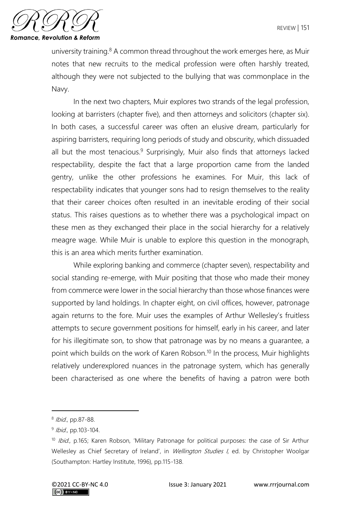

university training. $8$  A common thread throughout the work emerges here, as Muir notes that new recruits to the medical profession were often harshly treated, although they were not subjected to the bullying that was commonplace in the Navy.

In the next two chapters, Muir explores two strands of the legal profession, looking at barristers (chapter five), and then attorneys and solicitors (chapter six). In both cases, a successful career was often an elusive dream, particularly for aspiring barristers, requiring long periods of study and obscurity, which dissuaded all but the most tenacious.<sup>9</sup> Surprisingly, Muir also finds that attorneys lacked respectability, despite the fact that a large proportion came from the landed gentry, unlike the other professions he examines. For Muir, this lack of respectability indicates that younger sons had to resign themselves to the reality that their career choices often resulted in an inevitable eroding of their social status. This raises questions as to whether there was a psychological impact on these men as they exchanged their place in the social hierarchy for a relatively meagre wage. While Muir is unable to explore this question in the monograph, this is an area which merits further examination.

While exploring banking and commerce (chapter seven), respectability and social standing re-emerge, with Muir positing that those who made their money from commerce were lower in the social hierarchy than those whose finances were supported by land holdings. In chapter eight, on civil offices, however, patronage again returns to the fore. Muir uses the examples of Arthur Wellesley's fruitless attempts to secure government positions for himself, early in his career, and later for his illegitimate son, to show that patronage was by no means a guarantee, a point which builds on the work of Karen Robson.<sup>10</sup> In the process, Muir highlights relatively underexplored nuances in the patronage system, which has generally been characterised as one where the benefits of having a patron were both

<sup>&</sup>lt;sup>8</sup> *Ibid.*, pp.87-88.

<sup>&</sup>lt;sup>9</sup> Ibid., pp.103-104.

<sup>&</sup>lt;sup>10</sup> Ibid., p.165; Karen Robson, 'Military Patronage for political purposes: the case of Sir Arthur Wellesley as Chief Secretary of Ireland', in Wellington Studies I, ed. by Christopher Woolgar (Southampton: Hartley Institute, 1996), pp.115-138.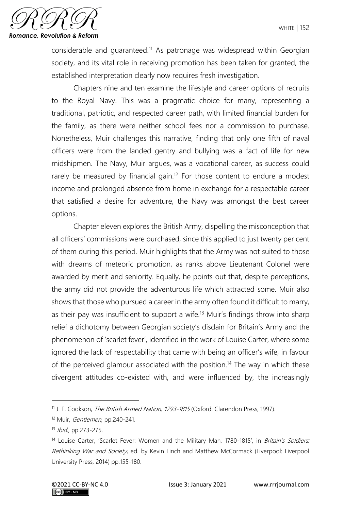

considerable and guaranteed.<sup>11</sup> As patronage was widespread within Georgian society, and its vital role in receiving promotion has been taken for granted, the established interpretation clearly now requires fresh investigation.

Chapters nine and ten examine the lifestyle and career options of recruits to the Royal Navy. This was a pragmatic choice for many, representing a traditional, patriotic, and respected career path, with limited financial burden for the family, as there were neither school fees nor a commission to purchase. Nonetheless, Muir challenges this narrative, finding that only one fifth of naval officers were from the landed gentry and bullying was a fact of life for new midshipmen. The Navy, Muir argues, was a vocational career, as success could rarely be measured by financial gain.<sup>12</sup> For those content to endure a modest income and prolonged absence from home in exchange for a respectable career that satisfied a desire for adventure, the Navy was amongst the best career options.

Chapter eleven explores the British Army, dispelling the misconception that all officers' commissions were purchased, since this applied to just twenty per cent of them during this period. Muir highlights that the Army was not suited to those with dreams of meteoric promotion, as ranks above Lieutenant Colonel were awarded by merit and seniority. Equally, he points out that, despite perceptions, the army did not provide the adventurous life which attracted some. Muir also shows that those who pursued a career in the army often found it difficult to marry, as their pay was insufficient to support a wife.<sup>13</sup> Muir's findings throw into sharp relief a dichotomy between Georgian society's disdain for Britain's Army and the phenomenon of 'scarlet fever', identified in the work of Louise Carter, where some ignored the lack of respectability that came with being an officer's wife, in favour of the perceived glamour associated with the position.<sup>14</sup> The way in which these divergent attitudes co-existed with, and were influenced by, the increasingly

<sup>&</sup>lt;sup>11</sup> J. E. Cookson, *The British Armed Nation, 1793-1815* (Oxford: Clarendon Press, 1997).

<sup>&</sup>lt;sup>12</sup> Muir, *Gentlemen*, pp.240-241.

<sup>13</sup> *Ibid.*, pp.273-275.

<sup>&</sup>lt;sup>14</sup> Louise Carter, 'Scarlet Fever: Women and the Military Man, 1780-1815', in *Britain's Soldiers:* Rethinking War and Society, ed. by Kevin Linch and Matthew McCormack (Liverpool: Liverpool University Press, 2014) pp.155-180.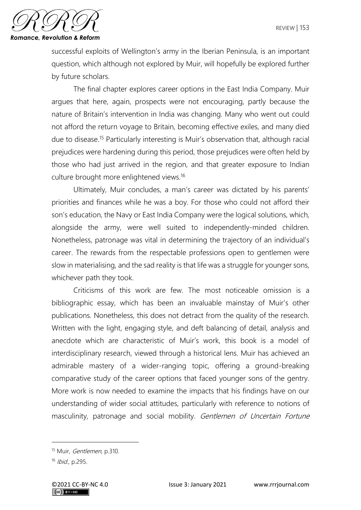

successful exploits of Wellington's army in the Iberian Peninsula, is an important question, which although not explored by Muir, will hopefully be explored further by future scholars.

The final chapter explores career options in the East India Company. Muir argues that here, again, prospects were not encouraging, partly because the nature of Britain's intervention in India was changing. Many who went out could not afford the return voyage to Britain, becoming effective exiles, and many died due to disease.<sup>15</sup> Particularly interesting is Muir's observation that, although racial prejudices were hardening during this period, those prejudices were often held by those who had just arrived in the region, and that greater exposure to Indian culture brought more enlightened views.<sup>16</sup>

Ultimately, Muir concludes, a man's career was dictated by his parents' priorities and finances while he was a boy. For those who could not afford their son's education, the Navy or East India Company were the logical solutions, which, alongside the army, were well suited to independently-minded children. Nonetheless, patronage was vital in determining the trajectory of an individual's career. The rewards from the respectable professions open to gentlemen were slow in materialising, and the sad reality is that life was a struggle for younger sons, whichever path they took.

Criticisms of this work are few. The most noticeable omission is a bibliographic essay, which has been an invaluable mainstay of Muir's other publications. Nonetheless, this does not detract from the quality of the research. Written with the light, engaging style, and deft balancing of detail, analysis and anecdote which are characteristic of Muir's work, this book is a model of interdisciplinary research, viewed through a historical lens. Muir has achieved an admirable mastery of a wider-ranging topic, offering a ground-breaking comparative study of the career options that faced younger sons of the gentry. More work is now needed to examine the impacts that his findings have on our understanding of wider social attitudes, particularly with reference to notions of masculinity, patronage and social mobility. Gentlemen of Uncertain Fortune

<sup>&</sup>lt;sup>15</sup> Muir, *Gentlemen*, p.310.

<sup>16</sup> *Ibid.*, p.295.